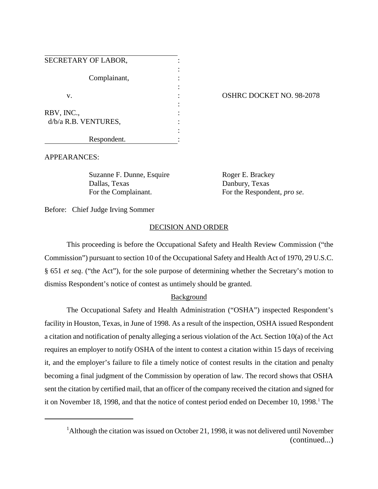| SECRETARY OF LABOR,  |  |
|----------------------|--|
| Complainant,         |  |
| V.                   |  |
| RBV, INC.,           |  |
| d/b/a R.B. VENTURES, |  |
| Respondent.          |  |

## OSHRC DOCKET NO. 98-2078

APPEARANCES:

Suzanne F. Dunne, Esquire Roger E. Brackey Dallas, Texas Danbury, Texas

For the Complainant. For the Respondent, *pro se*.

Before: Chief Judge Irving Sommer

## DECISION AND ORDER

This proceeding is before the Occupational Safety and Health Review Commission ("the Commission") pursuant to section 10 of the Occupational Safety and Health Act of 1970, 29 U.S.C. § 651 *et seq*. ("the Act"), for the sole purpose of determining whether the Secretary's motion to dismiss Respondent's notice of contest as untimely should be granted.

## Background

The Occupational Safety and Health Administration ("OSHA") inspected Respondent's facility in Houston, Texas, in June of 1998. As a result of the inspection, OSHA issued Respondent a citation and notification of penalty alleging a serious violation of the Act. Section 10(a) of the Act requires an employer to notify OSHA of the intent to contest a citation within 15 days of receiving it, and the employer's failure to file a timely notice of contest results in the citation and penalty becoming a final judgment of the Commission by operation of law. The record shows that OSHA sent the citation by certified mail, that an officer of the company received the citation and signed for it on November 18, 1998, and that the notice of contest period ended on December 10, 1998.<sup>1</sup> The

<sup>&</sup>lt;sup>1</sup>Although the citation was issued on October 21, 1998, it was not delivered until November (continued...)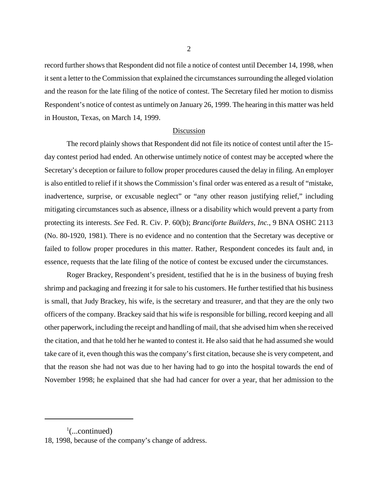record further shows that Respondent did not file a notice of contest until December 14, 1998, when it sent a letter to the Commission that explained the circumstances surrounding the alleged violation and the reason for the late filing of the notice of contest. The Secretary filed her motion to dismiss Respondent's notice of contest as untimely on January 26, 1999. The hearing in this matter was held in Houston, Texas, on March 14, 1999.

## Discussion

The record plainly shows that Respondent did not file its notice of contest until after the 15 day contest period had ended. An otherwise untimely notice of contest may be accepted where the Secretary's deception or failure to follow proper procedures caused the delay in filing. An employer is also entitled to relief if it shows the Commission's final order was entered as a result of "mistake, inadvertence, surprise, or excusable neglect" or "any other reason justifying relief," including mitigating circumstances such as absence, illness or a disability which would prevent a party from protecting its interests. *See* Fed. R. Civ. P. 60(b); *Branciforte Builders, Inc.*, 9 BNA OSHC 2113 (No. 80-1920, 1981). There is no evidence and no contention that the Secretary was deceptive or failed to follow proper procedures in this matter. Rather, Respondent concedes its fault and, in essence, requests that the late filing of the notice of contest be excused under the circumstances.

Roger Brackey, Respondent's president, testified that he is in the business of buying fresh shrimp and packaging and freezing it for sale to his customers. He further testified that his business is small, that Judy Brackey, his wife, is the secretary and treasurer, and that they are the only two officers of the company. Brackey said that his wife is responsible for billing, record keeping and all other paperwork, including the receipt and handling of mail, that she advised him when she received the citation, and that he told her he wanted to contest it. He also said that he had assumed she would take care of it, even though this was the company's first citation, because she is very competent, and that the reason she had not was due to her having had to go into the hospital towards the end of November 1998; he explained that she had had cancer for over a year, that her admission to the

 $\frac{1}{2}$ (...continued)

<sup>18, 1998,</sup> because of the company's change of address.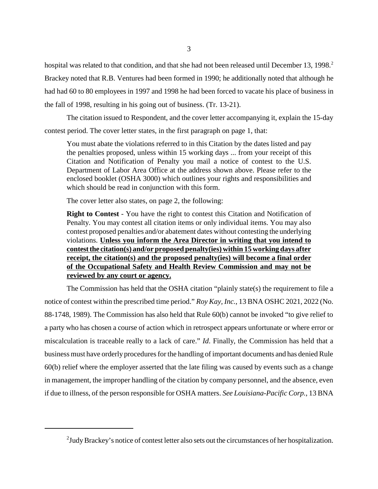hospital was related to that condition, and that she had not been released until December 13, 1998.<sup>2</sup> Brackey noted that R.B. Ventures had been formed in 1990; he additionally noted that although he had had 60 to 80 employees in 1997 and 1998 he had been forced to vacate his place of business in the fall of 1998, resulting in his going out of business. (Tr. 13-21).

The citation issued to Respondent, and the cover letter accompanying it, explain the 15-day contest period. The cover letter states, in the first paragraph on page 1, that:

You must abate the violations referred to in this Citation by the dates listed and pay the penalties proposed, unless within 15 working days ... from your receipt of this Citation and Notification of Penalty you mail a notice of contest to the U.S. Department of Labor Area Office at the address shown above. Please refer to the enclosed booklet (OSHA 3000) which outlines your rights and responsibilities and which should be read in conjunction with this form.

The cover letter also states, on page 2, the following:

**Right to Contest** - You have the right to contest this Citation and Notification of Penalty. You may contest all citation items or only individual items. You may also contest proposed penalties and/or abatement dates without contesting the underlying violations. **Unless you inform the Area Director in writing that you intend to contest the citation(s) and/or proposed penalty(ies) within 15 working days after receipt, the citation(s) and the proposed penalty(ies) will become a final order of the Occupational Safety and Health Review Commission and may not be reviewed by any court or agency.**

The Commission has held that the OSHA citation "plainly state(s) the requirement to file a notice of contest within the prescribed time period." *Roy Kay, Inc.*, 13 BNA OSHC 2021, 2022 (No. 88-1748, 1989). The Commission has also held that Rule 60(b) cannot be invoked "to give relief to a party who has chosen a course of action which in retrospect appears unfortunate or where error or miscalculation is traceable really to a lack of care." *Id*. Finally, the Commission has held that a business must have orderly procedures for the handling of important documents and has denied Rule 60(b) relief where the employer asserted that the late filing was caused by events such as a change in management, the improper handling of the citation by company personnel, and the absence, even if due to illness, of the person responsible for OSHA matters. *See Louisiana-Pacific Corp.*, 13 BNA

 $2$ Judy Brackey's notice of contest letter also sets out the circumstances of her hospitalization.